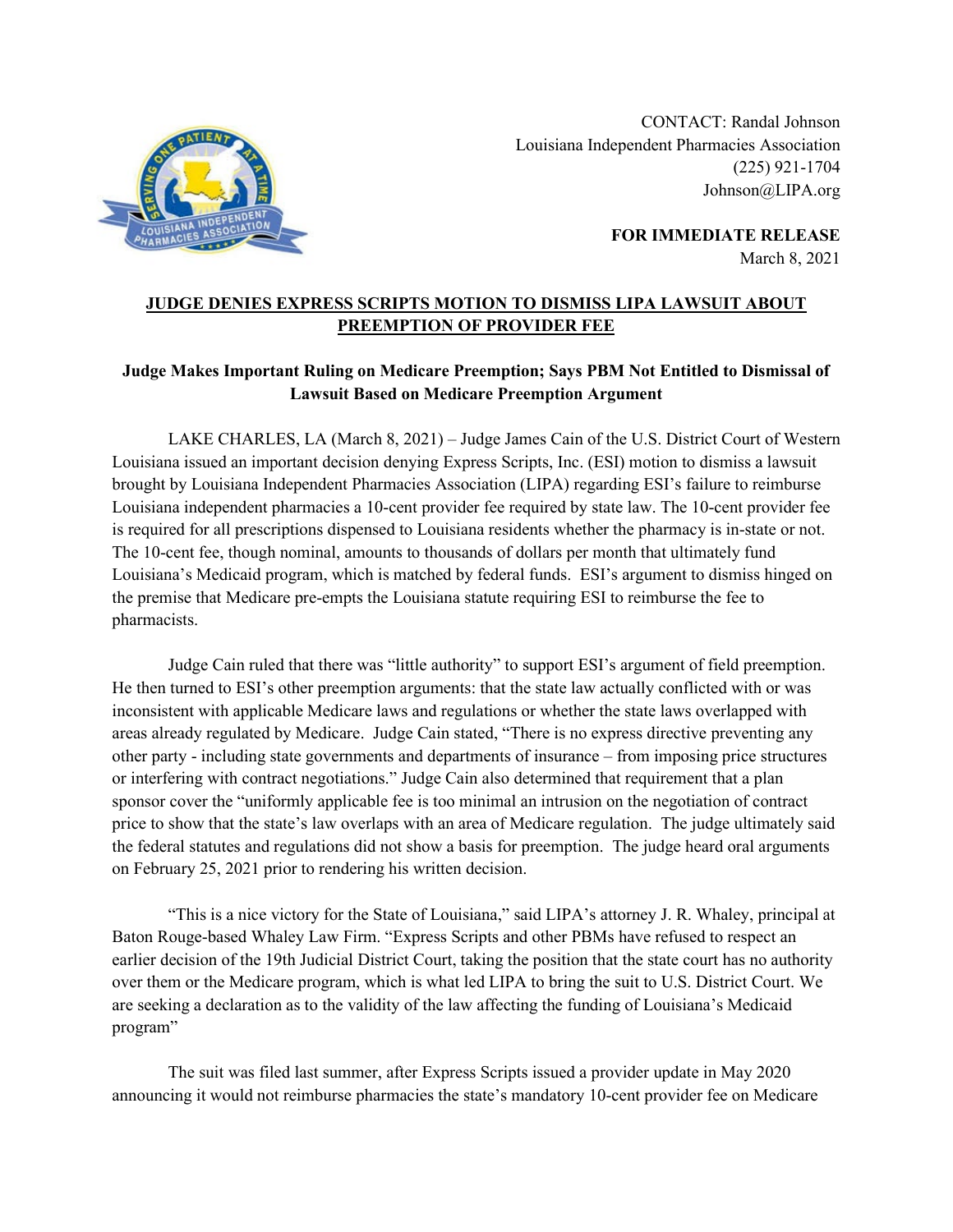

CONTACT: Randal Johnson Louisiana Independent Pharmacies Association (225) 921-1704 Johnson@LIPA.org

> **FOR IMMEDIATE RELEASE** March 8, 2021

## **JUDGE DENIES EXPRESS SCRIPTS MOTION TO DISMISS LIPA LAWSUIT ABOUT PREEMPTION OF PROVIDER FEE**

## **Judge Makes Important Ruling on Medicare Preemption; Says PBM Not Entitled to Dismissal of Lawsuit Based on Medicare Preemption Argument**

LAKE CHARLES, LA (March 8, 2021) – Judge James Cain of the U.S. District Court of Western Louisiana issued an important decision denying Express Scripts, Inc. (ESI) motion to dismiss a lawsuit brought by Louisiana Independent Pharmacies Association (LIPA) regarding ESI's failure to reimburse Louisiana independent pharmacies a 10-cent provider fee required by state law. The 10-cent provider fee is required for all prescriptions dispensed to Louisiana residents whether the pharmacy is in-state or not. The 10-cent fee, though nominal, amounts to thousands of dollars per month that ultimately fund Louisiana's Medicaid program, which is matched by federal funds. ESI's argument to dismiss hinged on the premise that Medicare pre-empts the Louisiana statute requiring ESI to reimburse the fee to pharmacists.

Judge Cain ruled that there was "little authority" to support ESI's argument of field preemption. He then turned to ESI's other preemption arguments: that the state law actually conflicted with or was inconsistent with applicable Medicare laws and regulations or whether the state laws overlapped with areas already regulated by Medicare. Judge Cain stated, "There is no express directive preventing any other party - including state governments and departments of insurance – from imposing price structures or interfering with contract negotiations." Judge Cain also determined that requirement that a plan sponsor cover the "uniformly applicable fee is too minimal an intrusion on the negotiation of contract price to show that the state's law overlaps with an area of Medicare regulation. The judge ultimately said the federal statutes and regulations did not show a basis for preemption. The judge heard oral arguments on February 25, 2021 prior to rendering his written decision.

"This is a nice victory for the State of Louisiana," said LIPA's attorney J. R. Whaley, principal at Baton Rouge-based Whaley Law Firm. "Express Scripts and other PBMs have refused to respect an earlier decision of the 19th Judicial District Court, taking the position that the state court has no authority over them or the Medicare program, which is what led LIPA to bring the suit to U.S. District Court. We are seeking a declaration as to the validity of the law affecting the funding of Louisiana's Medicaid program"

The suit was filed last summer, after Express Scripts issued a provider update in May 2020 announcing it would not reimburse pharmacies the state's mandatory 10-cent provider fee on Medicare